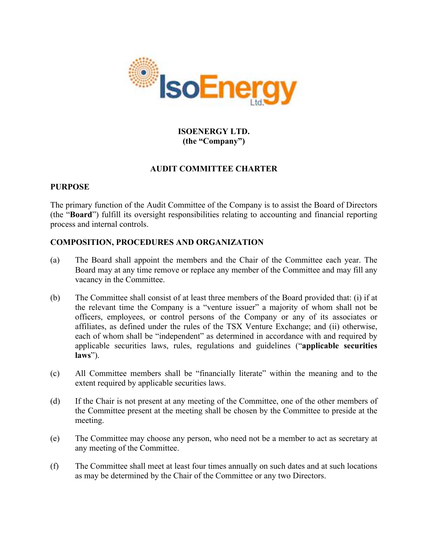

# **ISOENERGY LTD. (the "Company")**

## **AUDIT COMMITTEE CHARTER**

### **PURPOSE**

The primary function of the Audit Committee of the Company is to assist the Board of Directors (the "**Board**") fulfill its oversight responsibilities relating to accounting and financial reporting process and internal controls.

## **COMPOSITION, PROCEDURES AND ORGANIZATION**

- (a) The Board shall appoint the members and the Chair of the Committee each year. The Board may at any time remove or replace any member of the Committee and may fill any vacancy in the Committee.
- (b) The Committee shall consist of at least three members of the Board provided that: (i) if at the relevant time the Company is a "venture issuer" a majority of whom shall not be officers, employees, or control persons of the Company or any of its associates or affiliates, as defined under the rules of the TSX Venture Exchange; and (ii) otherwise, each of whom shall be "independent" as determined in accordance with and required by applicable securities laws, rules, regulations and guidelines ("**applicable securities laws**").
- (c) All Committee members shall be "financially literate" within the meaning and to the extent required by applicable securities laws.
- (d) If the Chair is not present at any meeting of the Committee, one of the other members of the Committee present at the meeting shall be chosen by the Committee to preside at the meeting.
- (e) The Committee may choose any person, who need not be a member to act as secretary at any meeting of the Committee.
- (f) The Committee shall meet at least four times annually on such dates and at such locations as may be determined by the Chair of the Committee or any two Directors.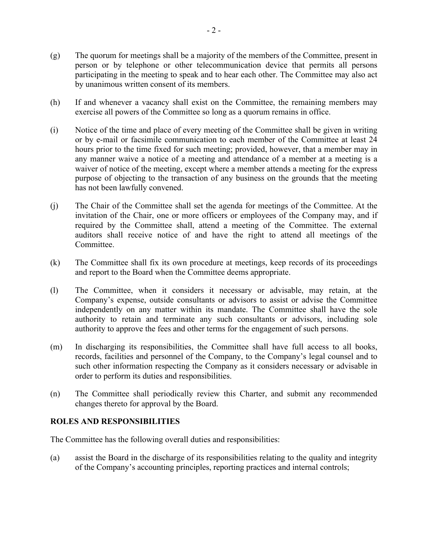- (g) The quorum for meetings shall be a majority of the members of the Committee, present in person or by telephone or other telecommunication device that permits all persons participating in the meeting to speak and to hear each other. The Committee may also act by unanimous written consent of its members.
- (h) If and whenever a vacancy shall exist on the Committee, the remaining members may exercise all powers of the Committee so long as a quorum remains in office.
- (i) Notice of the time and place of every meeting of the Committee shall be given in writing or by e-mail or facsimile communication to each member of the Committee at least 24 hours prior to the time fixed for such meeting; provided, however, that a member may in any manner waive a notice of a meeting and attendance of a member at a meeting is a waiver of notice of the meeting, except where a member attends a meeting for the express purpose of objecting to the transaction of any business on the grounds that the meeting has not been lawfully convened.
- (j) The Chair of the Committee shall set the agenda for meetings of the Committee. At the invitation of the Chair, one or more officers or employees of the Company may, and if required by the Committee shall, attend a meeting of the Committee. The external auditors shall receive notice of and have the right to attend all meetings of the **Committee**
- (k) The Committee shall fix its own procedure at meetings, keep records of its proceedings and report to the Board when the Committee deems appropriate.
- (l) The Committee, when it considers it necessary or advisable, may retain, at the Company's expense, outside consultants or advisors to assist or advise the Committee independently on any matter within its mandate. The Committee shall have the sole authority to retain and terminate any such consultants or advisors, including sole authority to approve the fees and other terms for the engagement of such persons.
- (m) In discharging its responsibilities, the Committee shall have full access to all books, records, facilities and personnel of the Company, to the Company's legal counsel and to such other information respecting the Company as it considers necessary or advisable in order to perform its duties and responsibilities.
- (n) The Committee shall periodically review this Charter, and submit any recommended changes thereto for approval by the Board.

## **ROLES AND RESPONSIBILITIES**

The Committee has the following overall duties and responsibilities:

(a) assist the Board in the discharge of its responsibilities relating to the quality and integrity of the Company's accounting principles, reporting practices and internal controls;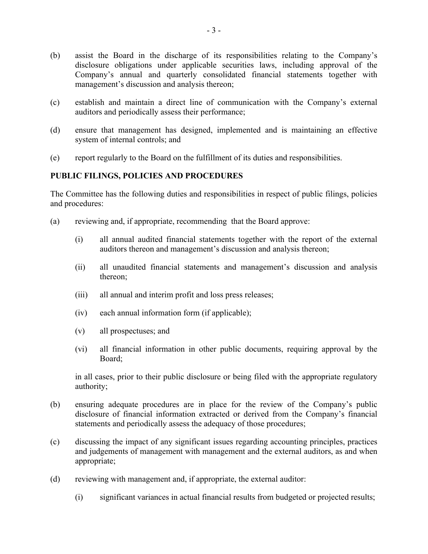- (b) assist the Board in the discharge of its responsibilities relating to the Company's disclosure obligations under applicable securities laws, including approval of the Company's annual and quarterly consolidated financial statements together with management's discussion and analysis thereon;
- (c) establish and maintain a direct line of communication with the Company's external auditors and periodically assess their performance;
- (d) ensure that management has designed, implemented and is maintaining an effective system of internal controls; and
- (e) report regularly to the Board on the fulfillment of its duties and responsibilities.

### **PUBLIC FILINGS, POLICIES AND PROCEDURES**

The Committee has the following duties and responsibilities in respect of public filings, policies and procedures:

- (a) reviewing and, if appropriate, recommending that the Board approve:
	- (i) all annual audited financial statements together with the report of the external auditors thereon and management's discussion and analysis thereon;
	- (ii) all unaudited financial statements and management's discussion and analysis thereon;
	- (iii) all annual and interim profit and loss press releases;
	- (iv) each annual information form (if applicable);
	- (v) all prospectuses; and
	- (vi) all financial information in other public documents, requiring approval by the Board;

in all cases, prior to their public disclosure or being filed with the appropriate regulatory authority;

- (b) ensuring adequate procedures are in place for the review of the Company's public disclosure of financial information extracted or derived from the Company's financial statements and periodically assess the adequacy of those procedures;
- (c) discussing the impact of any significant issues regarding accounting principles, practices and judgements of management with management and the external auditors, as and when appropriate;
- (d) reviewing with management and, if appropriate, the external auditor:
	- (i) significant variances in actual financial results from budgeted or projected results;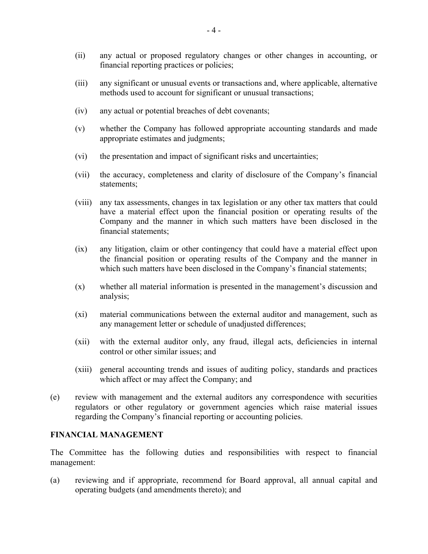- (ii) any actual or proposed regulatory changes or other changes in accounting, or financial reporting practices or policies;
- (iii) any significant or unusual events or transactions and, where applicable, alternative methods used to account for significant or unusual transactions;
- (iv) any actual or potential breaches of debt covenants;
- (v) whether the Company has followed appropriate accounting standards and made appropriate estimates and judgments;
- (vi) the presentation and impact of significant risks and uncertainties;
- (vii) the accuracy, completeness and clarity of disclosure of the Company's financial statements;
- (viii) any tax assessments, changes in tax legislation or any other tax matters that could have a material effect upon the financial position or operating results of the Company and the manner in which such matters have been disclosed in the financial statements;
- (ix) any litigation, claim or other contingency that could have a material effect upon the financial position or operating results of the Company and the manner in which such matters have been disclosed in the Company's financial statements;
- (x) whether all material information is presented in the management's discussion and analysis;
- (xi) material communications between the external auditor and management, such as any management letter or schedule of unadjusted differences;
- (xii) with the external auditor only, any fraud, illegal acts, deficiencies in internal control or other similar issues; and
- (xiii) general accounting trends and issues of auditing policy, standards and practices which affect or may affect the Company; and
- (e) review with management and the external auditors any correspondence with securities regulators or other regulatory or government agencies which raise material issues regarding the Company's financial reporting or accounting policies.

#### **FINANCIAL MANAGEMENT**

The Committee has the following duties and responsibilities with respect to financial management:

(a) reviewing and if appropriate, recommend for Board approval, all annual capital and operating budgets (and amendments thereto); and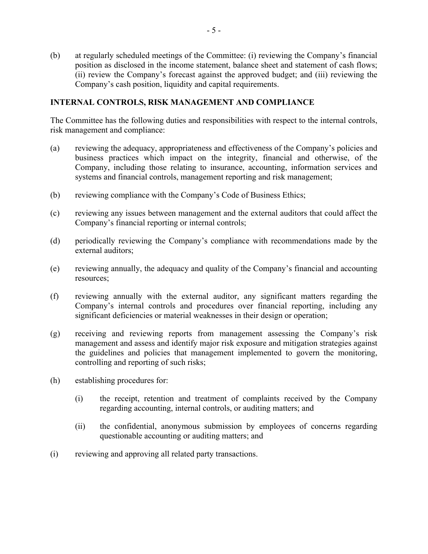(b) at regularly scheduled meetings of the Committee: (i) reviewing the Company's financial position as disclosed in the income statement, balance sheet and statement of cash flows; (ii) review the Company's forecast against the approved budget; and (iii) reviewing the Company's cash position, liquidity and capital requirements.

#### **INTERNAL CONTROLS, RISK MANAGEMENT AND COMPLIANCE**

The Committee has the following duties and responsibilities with respect to the internal controls, risk management and compliance:

- (a) reviewing the adequacy, appropriateness and effectiveness of the Company's policies and business practices which impact on the integrity, financial and otherwise, of the Company, including those relating to insurance, accounting, information services and systems and financial controls, management reporting and risk management;
- (b) reviewing compliance with the Company's Code of Business Ethics;
- (c) reviewing any issues between management and the external auditors that could affect the Company's financial reporting or internal controls;
- (d) periodically reviewing the Company's compliance with recommendations made by the external auditors;
- (e) reviewing annually, the adequacy and quality of the Company's financial and accounting resources;
- (f) reviewing annually with the external auditor, any significant matters regarding the Company's internal controls and procedures over financial reporting, including any significant deficiencies or material weaknesses in their design or operation;
- (g) receiving and reviewing reports from management assessing the Company's risk management and assess and identify major risk exposure and mitigation strategies against the guidelines and policies that management implemented to govern the monitoring, controlling and reporting of such risks;
- (h) establishing procedures for:
	- (i) the receipt, retention and treatment of complaints received by the Company regarding accounting, internal controls, or auditing matters; and
	- (ii) the confidential, anonymous submission by employees of concerns regarding questionable accounting or auditing matters; and
- (i) reviewing and approving all related party transactions.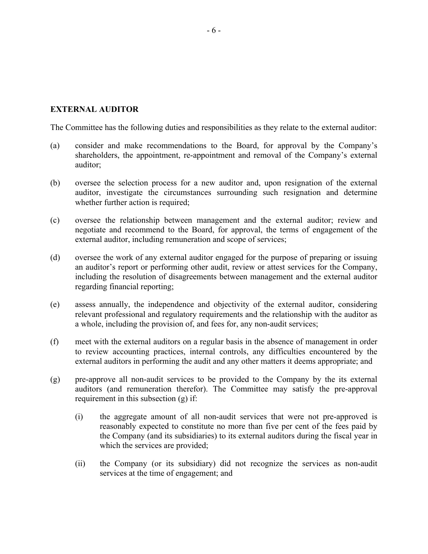#### **EXTERNAL AUDITOR**

The Committee has the following duties and responsibilities as they relate to the external auditor:

- (a) consider and make recommendations to the Board, for approval by the Company's shareholders, the appointment, re-appointment and removal of the Company's external auditor;
- (b) oversee the selection process for a new auditor and, upon resignation of the external auditor, investigate the circumstances surrounding such resignation and determine whether further action is required;
- (c) oversee the relationship between management and the external auditor; review and negotiate and recommend to the Board, for approval, the terms of engagement of the external auditor, including remuneration and scope of services;
- (d) oversee the work of any external auditor engaged for the purpose of preparing or issuing an auditor's report or performing other audit, review or attest services for the Company, including the resolution of disagreements between management and the external auditor regarding financial reporting;
- (e) assess annually, the independence and objectivity of the external auditor, considering relevant professional and regulatory requirements and the relationship with the auditor as a whole, including the provision of, and fees for, any non-audit services;
- (f) meet with the external auditors on a regular basis in the absence of management in order to review accounting practices, internal controls, any difficulties encountered by the external auditors in performing the audit and any other matters it deems appropriate; and
- (g) pre-approve all non-audit services to be provided to the Company by the its external auditors (and remuneration therefor). The Committee may satisfy the pre-approval requirement in this subsection (g) if:
	- (i) the aggregate amount of all non-audit services that were not pre-approved is reasonably expected to constitute no more than five per cent of the fees paid by the Company (and its subsidiaries) to its external auditors during the fiscal year in which the services are provided;
	- (ii) the Company (or its subsidiary) did not recognize the services as non-audit services at the time of engagement; and